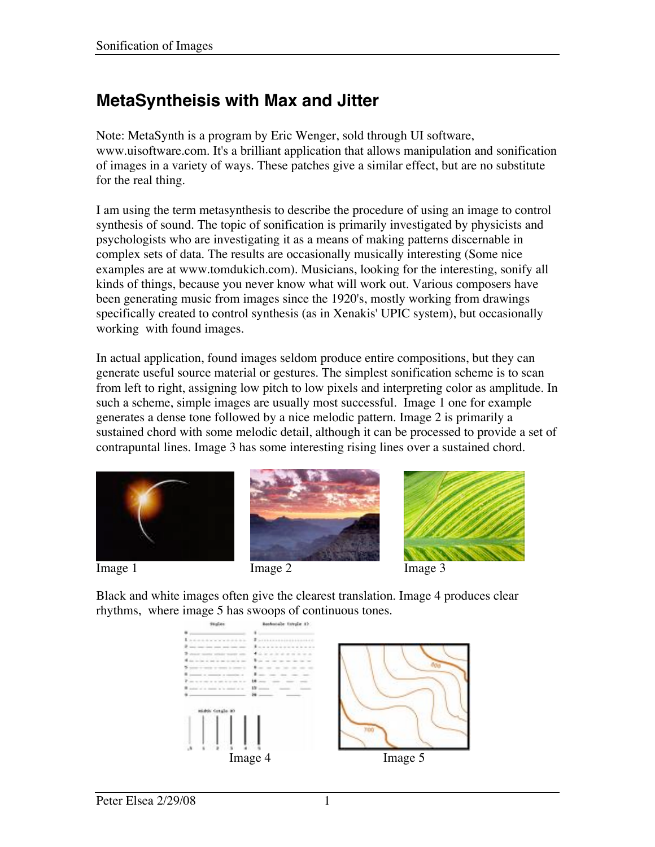# **MetaSyntheisis with Max and Jitter**

Note: MetaSynth is a program by Eric Wenger, sold through UI software, www.uisoftware.com. It's a brilliant application that allows manipulation and sonification of images in a variety of ways. These patches give a similar effect, but are no substitute for the real thing.

I am using the term metasynthesis to describe the procedure of using an image to control synthesis of sound. The topic of sonification is primarily investigated by physicists and psychologists who are investigating it as a means of making patterns discernable in complex sets of data. The results are occasionally musically interesting (Some nice examples are at www.tomdukich.com). Musicians, looking for the interesting, sonify all kinds of things, because you never know what will work out. Various composers have been generating music from images since the 1920's, mostly working from drawings specifically created to control synthesis (as in Xenakis' UPIC system), but occasionally working with found images.

In actual application, found images seldom produce entire compositions, but they can generate useful source material or gestures. The simplest sonification scheme is to scan from left to right, assigning low pitch to low pixels and interpreting color as amplitude. In such a scheme, simple images are usually most successful. Image 1 one for example generates a dense tone followed by a nice melodic pattern. Image 2 is primarily a sustained chord with some melodic detail, although it can be processed to provide a set of contrapuntal lines. Image 3 has some interesting rising lines over a sustained chord.









Black and white images often give the clearest translation. Image 4 produces clear rhythms, where image 5 has swoops of continuous tones.

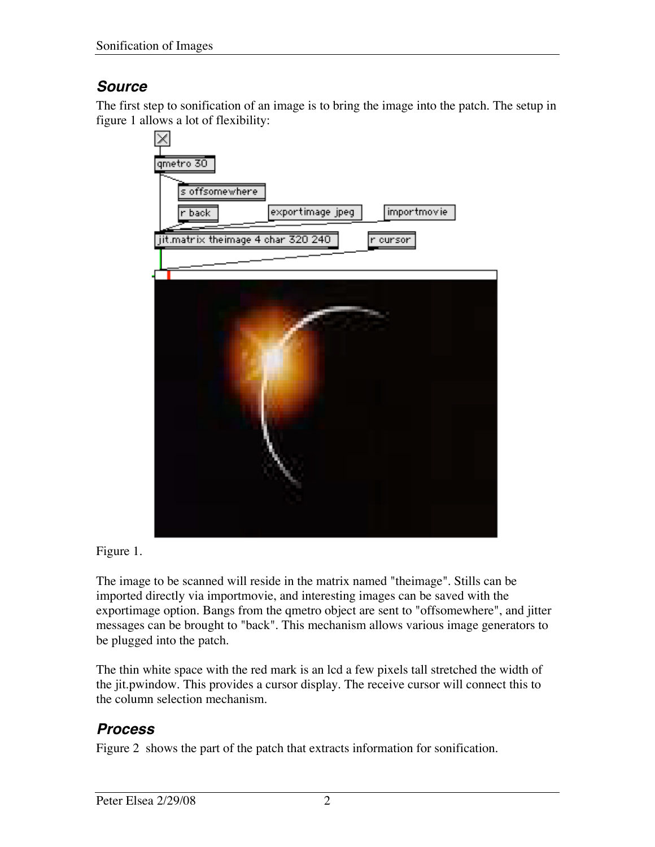### **Source**

The first step to sonification of an image is to bring the image into the patch. The setup in figure 1 allows a lot of flexibility:



Figure 1.

The image to be scanned will reside in the matrix named "theimage". Stills can be imported directly via importmovie, and interesting images can be saved with the exportimage option. Bangs from the qmetro object are sent to "offsomewhere", and jitter messages can be brought to "back". This mechanism allows various image generators to be plugged into the patch.

The thin white space with the red mark is an lcd a few pixels tall stretched the width of the jit.pwindow. This provides a cursor display. The receive cursor will connect this to the column selection mechanism.

# **Process**

Figure 2 shows the part of the patch that extracts information for sonification.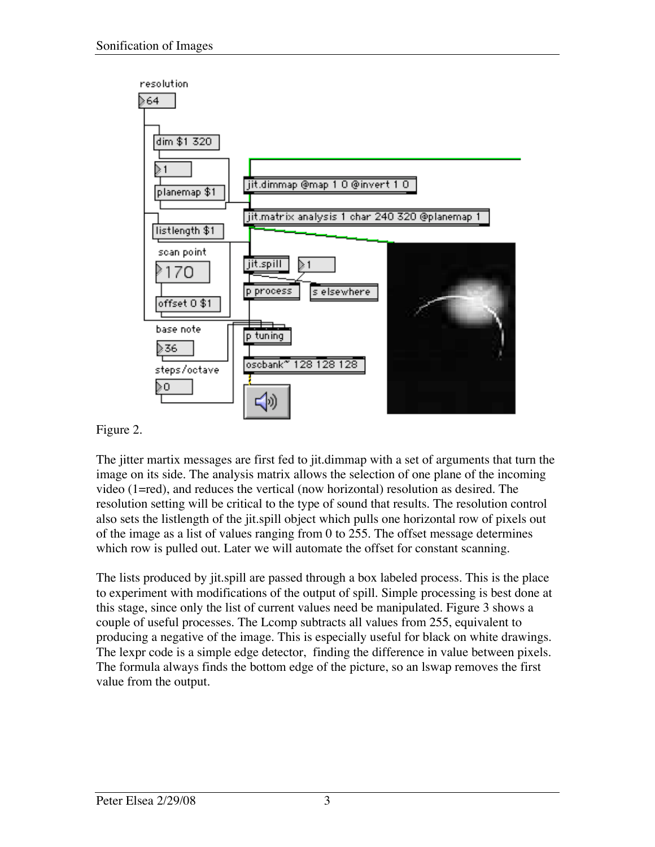

Figure 2.

The jitter martix messages are first fed to jit.dimmap with a set of arguments that turn the image on its side. The analysis matrix allows the selection of one plane of the incoming video (1=red), and reduces the vertical (now horizontal) resolution as desired. The resolution setting will be critical to the type of sound that results. The resolution control also sets the listlength of the jit.spill object which pulls one horizontal row of pixels out of the image as a list of values ranging from 0 to 255. The offset message determines which row is pulled out. Later we will automate the offset for constant scanning.

The lists produced by jit.spill are passed through a box labeled process. This is the place to experiment with modifications of the output of spill. Simple processing is best done at this stage, since only the list of current values need be manipulated. Figure 3 shows a couple of useful processes. The Lcomp subtracts all values from 255, equivalent to producing a negative of the image. This is especially useful for black on white drawings. The lexpr code is a simple edge detector, finding the difference in value between pixels. The formula always finds the bottom edge of the picture, so an lswap removes the first value from the output.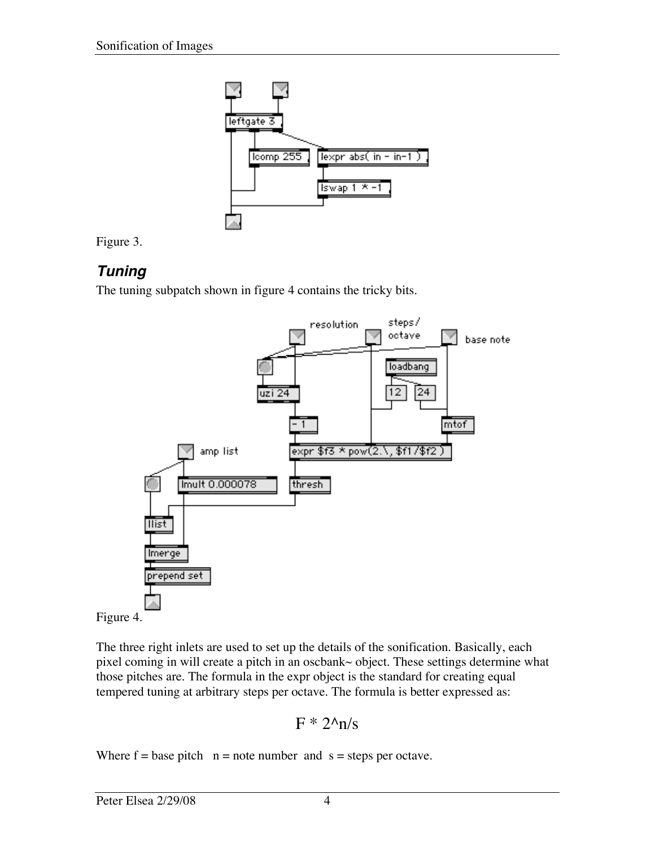



#### **Tuning**

The tuning subpatch shown in figure 4 contains the tricky bits.





The three right inlets are used to set up the details of the sonification. Basically, each pixel coming in will create a pitch in an oscbank~ object. These settings determine what those pitches are. The formula in the expr object is the standard for creating equal tempered tuning at arbitrary steps per octave. The formula is better expressed as:

$$
F * 2^{\Lambda} n/s
$$

Where  $f = base$  pitch  $n = note$  number and  $s = steps$  per octave.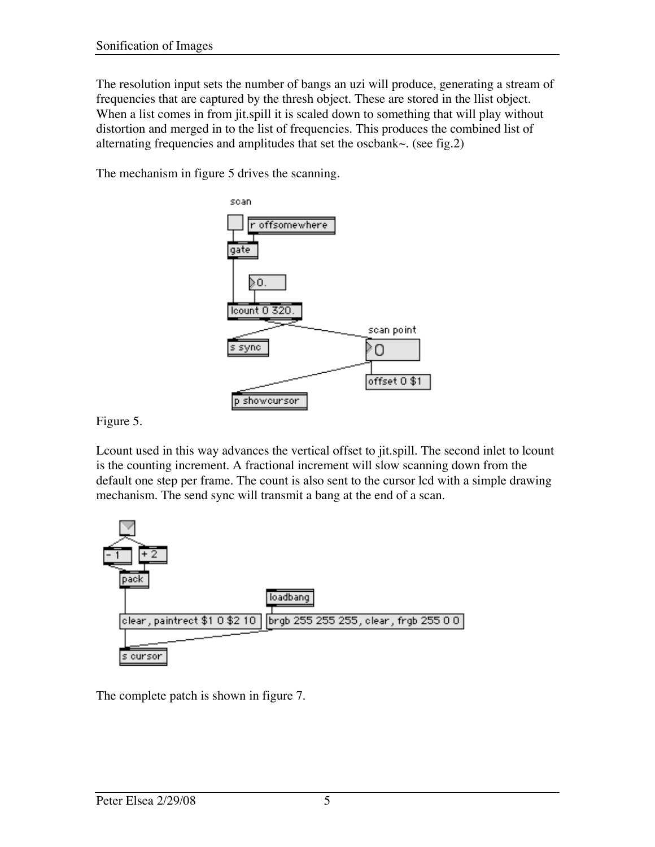The resolution input sets the number of bangs an uzi will produce, generating a stream of frequencies that are captured by the thresh object. These are stored in the llist object. When a list comes in from jit.spill it is scaled down to something that will play without distortion and merged in to the list of frequencies. This produces the combined list of alternating frequencies and amplitudes that set the oscbank $\sim$ . (see fig.2)

The mechanism in figure 5 drives the scanning.



Figure 5.

Lcount used in this way advances the vertical offset to jit.spill. The second inlet to lcount is the counting increment. A fractional increment will slow scanning down from the default one step per frame. The count is also sent to the cursor lcd with a simple drawing mechanism. The send sync will transmit a bang at the end of a scan.



The complete patch is shown in figure 7.